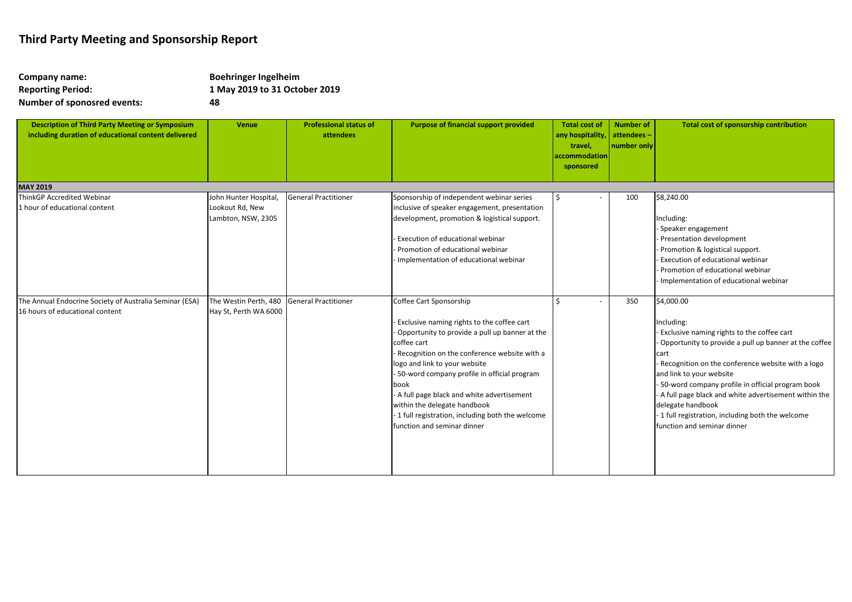| Company name:                      | <b>Boehringer Ingelheim</b>   |
|------------------------------------|-------------------------------|
| <b>Reporting Period:</b>           | 1 May 2019 to 31 October 2019 |
| <b>Number of sponosred events:</b> | 48                            |

| <b>Description of Third Party Meeting or Symposium</b><br>including duration of educational content delivered | <b>Venue</b>                                                   | <b>Professional status of</b><br>attendees | <b>Purpose of financial support provided</b>                                                                                                                                                                                                                                                                                                                                                                                                  | <b>Total cost of</b><br>any hospitality,<br>travel,<br>accommodation<br>sponsored | <b>Number of</b><br>attendees-<br>number only | Total cost of sponsorship contribution                                                                                                                                                                                                                                                                                                                                                                                                     |
|---------------------------------------------------------------------------------------------------------------|----------------------------------------------------------------|--------------------------------------------|-----------------------------------------------------------------------------------------------------------------------------------------------------------------------------------------------------------------------------------------------------------------------------------------------------------------------------------------------------------------------------------------------------------------------------------------------|-----------------------------------------------------------------------------------|-----------------------------------------------|--------------------------------------------------------------------------------------------------------------------------------------------------------------------------------------------------------------------------------------------------------------------------------------------------------------------------------------------------------------------------------------------------------------------------------------------|
| <b>MAY 2019</b><br>ThinkGP Accredited Webinar                                                                 |                                                                | General Practitioner                       |                                                                                                                                                                                                                                                                                                                                                                                                                                               | <sup>\$</sup>                                                                     |                                               | \$8,240.00                                                                                                                                                                                                                                                                                                                                                                                                                                 |
| 1 hour of educational content                                                                                 | John Hunter Hospital,<br>Lookout Rd, New<br>Lambton, NSW, 2305 |                                            | Sponsorship of independent webinar series<br>nclusive of speaker engagement, presentation<br>development, promotion & logistical support.<br>Execution of educational webinar<br>Promotion of educational webinar<br>Implementation of educational webinar                                                                                                                                                                                    |                                                                                   | 100                                           | Including:<br>Speaker engagement<br>Presentation development<br>Promotion & logistical support.<br>Execution of educational webinar<br>Promotion of educational webinar<br>Implementation of educational webinar                                                                                                                                                                                                                           |
| The Annual Endocrine Society of Australia Seminar (ESA)<br>16 hours of educational content                    | The Westin Perth, 480<br>Hay St, Perth WA 6000                 | General Practitioner                       | Coffee Cart Sponsorship<br>Exclusive naming rights to the coffee cart<br>Opportunity to provide a pull up banner at the<br>coffee cart<br>Recognition on the conference website with a<br>logo and link to your website<br>50-word company profile in official program<br>book<br>A full page black and white advertisement<br>within the delegate handbook<br>1 full registration, including both the welcome<br>function and seminar dinner |                                                                                   | 350                                           | \$4,000.00<br>ncluding:<br>Exclusive naming rights to the coffee cart<br>Opportunity to provide a pull up banner at the coffee<br>cart<br>Recognition on the conference website with a logo<br>and link to your website<br>50-word company profile in official program book<br>A full page black and white advertisement within the<br>delegate handbook<br>1 full registration, including both the welcome<br>function and seminar dinner |

## **Third Party Meeting and Sponsorship Report**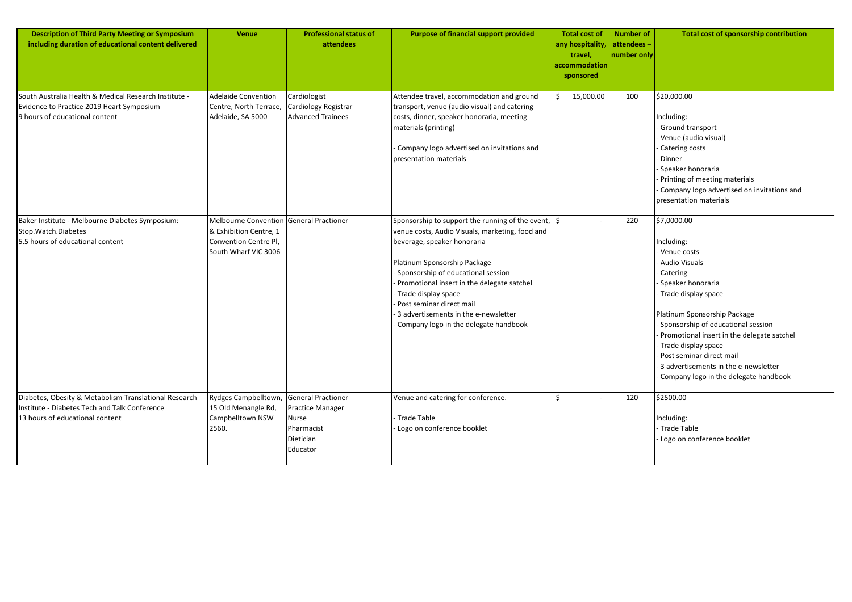| <b>Description of Third Party Meeting or Symposium</b><br>including duration of educational content delivered                             | <b>Venue</b>                                                                                                       | <b>Professional status of</b><br>attendees                                                    | <b>Purpose of financial support provided</b>                                                                                                                                                                                                                                                                                                                                                             | <b>Total cost of</b><br>any hospitality,<br>travel,<br>accommodation<br>sponsored | <b>Number of</b><br>attendees -<br>number only | <b>Total cost of sponsorship contribution</b>                                                                                                                                                                                                                                                                                                                                      |
|-------------------------------------------------------------------------------------------------------------------------------------------|--------------------------------------------------------------------------------------------------------------------|-----------------------------------------------------------------------------------------------|----------------------------------------------------------------------------------------------------------------------------------------------------------------------------------------------------------------------------------------------------------------------------------------------------------------------------------------------------------------------------------------------------------|-----------------------------------------------------------------------------------|------------------------------------------------|------------------------------------------------------------------------------------------------------------------------------------------------------------------------------------------------------------------------------------------------------------------------------------------------------------------------------------------------------------------------------------|
| South Australia Health & Medical Research Institute -<br>Evidence to Practice 2019 Heart Symposium<br>9 hours of educational content      | <b>Adelaide Convention</b><br>Centre, North Terrace,<br>Adelaide, SA 5000                                          | Cardiologist<br>Cardiology Registrar<br><b>Advanced Trainees</b>                              | Attendee travel, accommodation and ground<br>transport, venue (audio visual) and catering<br>costs, dinner, speaker honoraria, meeting<br>materials (printing)<br>Company logo advertised on invitations and<br>presentation materials                                                                                                                                                                   | 15,000.00                                                                         | 100                                            | \$20,000.00<br>Including:<br>Ground transport<br>Venue (audio visual)<br>Catering costs<br>Dinner<br>Speaker honoraria<br>Printing of meeting materials<br>Company logo advertised on invitations and<br>presentation materials                                                                                                                                                    |
| Baker Institute - Melbourne Diabetes Symposium:<br>Stop.Watch.Diabetes<br>5.5 hours of educational content                                | Melbourne Convention General Practioner<br>& Exhibition Centre, 1<br>Convention Centre Pl,<br>South Wharf VIC 3006 |                                                                                               | Sponsorship to support the running of the event, $\frac{1}{5}$<br>venue costs, Audio Visuals, marketing, food and<br>beverage, speaker honoraria<br>Platinum Sponsorship Package<br>Sponsorship of educational session<br>Promotional insert in the delegate satchel<br>Trade display space<br>Post seminar direct mail<br>3 advertisements in the e-newsletter<br>Company logo in the delegate handbook |                                                                                   | 220                                            | \$7,0000.00<br>Including:<br>Venue costs<br><b>Audio Visuals</b><br>Catering<br>Speaker honoraria<br>Trade display space<br>Platinum Sponsorship Package<br>Sponsorship of educational session<br>Promotional insert in the delegate satchel<br>- Trade display space<br>Post seminar direct mail<br>3 advertisements in the e-newsletter<br>Company logo in the delegate handbook |
| Diabetes, Obesity & Metabolism Translational Research<br>Institute - Diabetes Tech and Talk Conference<br>13 hours of educational content | Rydges Campbelltown,<br>15 Old Menangle Rd,<br>Campbelltown NSW<br>2560.                                           | <b>General Practioner</b><br>Practice Manager<br>Nurse<br>Pharmacist<br>Dietician<br>Educator | Venue and catering for conference.<br>Trade Table<br>Logo on conference booklet                                                                                                                                                                                                                                                                                                                          |                                                                                   | 120                                            | \$2500.00<br>Including:<br>- Trade Table<br>Logo on conference booklet                                                                                                                                                                                                                                                                                                             |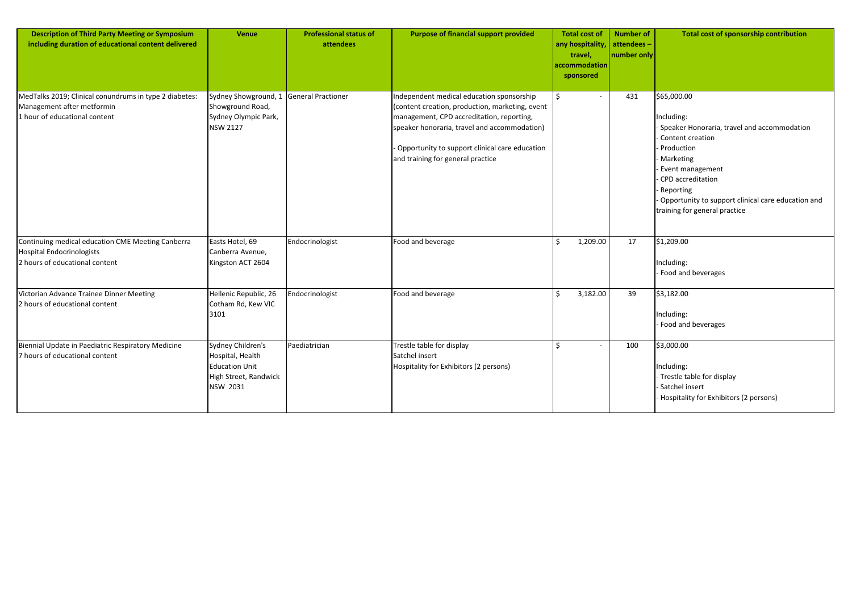| <b>Description of Third Party Meeting or Symposium</b><br>including duration of educational content delivered         | <b>Venue</b>                                                                                        | <b>Professional status of</b><br>attendees | <b>Purpose of financial support provided</b>                                                                                                                                                                                                                                     | <b>Total cost of</b><br>any hospitality,<br>travel,<br>accommodation<br>sponsored | <b>Number of</b><br>attendees-<br>number only | <b>Total cost of sponsorship contribution</b>                                                                                                                                                                                                                        |
|-----------------------------------------------------------------------------------------------------------------------|-----------------------------------------------------------------------------------------------------|--------------------------------------------|----------------------------------------------------------------------------------------------------------------------------------------------------------------------------------------------------------------------------------------------------------------------------------|-----------------------------------------------------------------------------------|-----------------------------------------------|----------------------------------------------------------------------------------------------------------------------------------------------------------------------------------------------------------------------------------------------------------------------|
| MedTalks 2019; Clinical conundrums in type 2 diabetes:<br>Management after metformin<br>1 hour of educational content | Sydney Showground, 1<br>Showground Road,<br>Sydney Olympic Park,<br><b>NSW 2127</b>                 | General Practioner                         | Independent medical education sponsorship<br>(content creation, production, marketing, event<br>management, CPD accreditation, reporting,<br>speaker honoraria, travel and accommodation)<br>Opportunity to support clinical care education<br>and training for general practice |                                                                                   | 431                                           | \$65,000.00<br>Including:<br>Speaker Honoraria, travel and accommodation<br>Content creation<br>Production<br>Marketing<br>Event management<br>CPD accreditation<br>Reporting<br>Opportunity to support clinical care education and<br>training for general practice |
| Continuing medical education CME Meeting Canberra<br>Hospital Endocrinologists<br>2 hours of educational content      | Easts Hotel, 69<br>Canberra Avenue,<br>Kingston ACT 2604                                            | Endocrinologist                            | Food and beverage                                                                                                                                                                                                                                                                | 1,209.00                                                                          | 17                                            | \$1,209.00<br>Including:<br>Food and beverages                                                                                                                                                                                                                       |
| Victorian Advance Trainee Dinner Meeting<br>2 hours of educational content                                            | Hellenic Republic, 26<br>Cotham Rd, Kew VIC<br>3101                                                 | Endocrinologist                            | Food and beverage                                                                                                                                                                                                                                                                | 3,182.00                                                                          | 39                                            | \$3,182.00<br>Including:<br>Food and beverages                                                                                                                                                                                                                       |
| Biennial Update in Paediatric Respiratory Medicine<br>7 hours of educational content                                  | Sydney Children's<br>Hospital, Health<br><b>Education Unit</b><br>High Street, Randwick<br>NSW 2031 | Paediatrician                              | Trestle table for display<br>Satchel insert<br>Hospitality for Exhibitors (2 persons)                                                                                                                                                                                            | $\epsilon$                                                                        | 100                                           | \$3,000.00<br>Including:<br>Trestle table for display<br>Satchel insert<br>Hospitality for Exhibitors (2 persons)                                                                                                                                                    |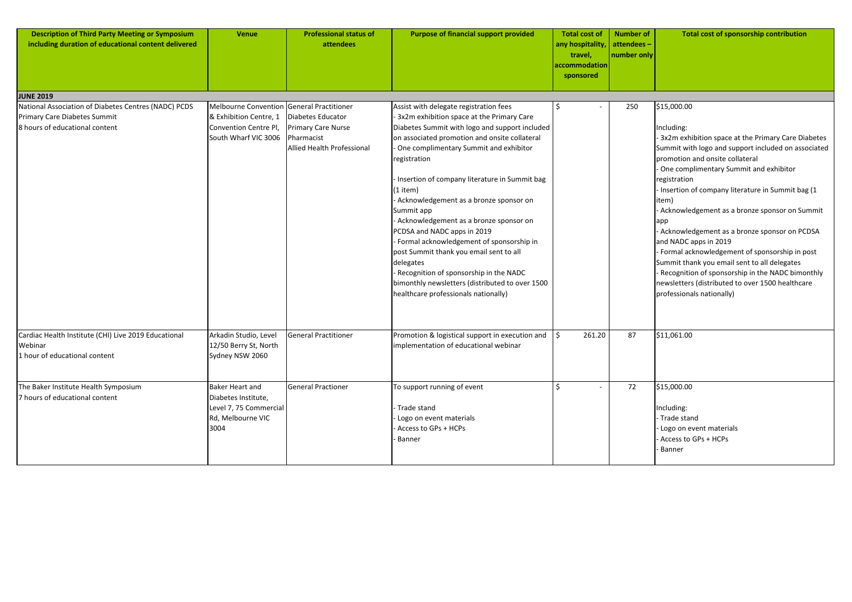| <b>Description of Third Party Meeting or Symposium</b><br>including duration of educational content delivered          | <b>Venue</b>                                                                                                         | <b>Professional status of</b><br>attendees                                                 | <b>Purpose of financial support provided</b>                                                                                                                                                                                                                                                                                                                                                                                                                                                                                                                                                                                                                                            | <b>Total cost of</b><br>any hospitality,<br>travel,<br>accommodation<br>sponsored | <b>Number of</b><br>attendees-<br>number only | <b>Total cost of sponsorship contribution</b>                                                                                                                                                                                                                                                                                                                                                                                                                                                                                                                                                                                                                                      |
|------------------------------------------------------------------------------------------------------------------------|----------------------------------------------------------------------------------------------------------------------|--------------------------------------------------------------------------------------------|-----------------------------------------------------------------------------------------------------------------------------------------------------------------------------------------------------------------------------------------------------------------------------------------------------------------------------------------------------------------------------------------------------------------------------------------------------------------------------------------------------------------------------------------------------------------------------------------------------------------------------------------------------------------------------------------|-----------------------------------------------------------------------------------|-----------------------------------------------|------------------------------------------------------------------------------------------------------------------------------------------------------------------------------------------------------------------------------------------------------------------------------------------------------------------------------------------------------------------------------------------------------------------------------------------------------------------------------------------------------------------------------------------------------------------------------------------------------------------------------------------------------------------------------------|
| <b>JUNE 2019</b>                                                                                                       |                                                                                                                      |                                                                                            |                                                                                                                                                                                                                                                                                                                                                                                                                                                                                                                                                                                                                                                                                         |                                                                                   |                                               |                                                                                                                                                                                                                                                                                                                                                                                                                                                                                                                                                                                                                                                                                    |
| National Association of Diabetes Centres (NADC) PCDS<br>Primary Care Diabetes Summit<br>8 hours of educational content | Melbourne Convention General Practitioner<br>& Exhibition Centre, 1<br>Convention Centre Pl,<br>South Wharf VIC 3006 | Diabetes Educator<br><b>Primary Care Nurse</b><br>Pharmacist<br>Allied Health Professional | Assist with delegate registration fees<br>3x2m exhibition space at the Primary Care<br>Diabetes Summit with logo and support included<br>on associated promotion and onsite collateral<br>One complimentary Summit and exhibitor<br>registration<br>Insertion of company literature in Summit bag<br>(1 item)<br>Acknowledgement as a bronze sponsor on<br>Summit app<br>Acknowledgement as a bronze sponsor on<br>PCDSA and NADC apps in 2019<br>Formal acknowledgement of sponsorship in<br>post Summit thank you email sent to all<br>delegates<br>Recognition of sponsorship in the NADC<br>bimonthly newsletters (distributed to over 1500<br>healthcare professionals nationally) | Ś                                                                                 | 250                                           | \$15,000.00<br>Including:<br>3x2m exhibition space at the Primary Care Diabetes<br>Summit with logo and support included on associated<br>promotion and onsite collateral<br>- One complimentary Summit and exhibitor<br>registration<br>- Insertion of company literature in Summit bag (1<br>item)<br>Acknowledgement as a bronze sponsor on Summit<br> app<br>- Acknowledgement as a bronze sponsor on PCDSA<br>and NADC apps in 2019<br>- Formal acknowledgement of sponsorship in post<br>Summit thank you email sent to all delegates<br>- Recognition of sponsorship in the NADC bimonthly<br>newsletters (distributed to over 1500 healthcare<br>professionals nationally) |
| Cardiac Health Institute (CHI) Live 2019 Educational<br>Webinar<br>1 hour of educational content                       | Arkadin Studio, Level<br>12/50 Berry St, North<br>Sydney NSW 2060                                                    | <b>General Practitioner</b>                                                                | Promotion & logistical support in execution and  <br>implementation of educational webinar                                                                                                                                                                                                                                                                                                                                                                                                                                                                                                                                                                                              | \$.<br>261.20                                                                     | 87                                            | \$11,061.00                                                                                                                                                                                                                                                                                                                                                                                                                                                                                                                                                                                                                                                                        |
| The Baker Institute Health Symposium<br>7 hours of educational content                                                 | <b>Baker Heart and</b><br>Diabetes Institute,<br>Level 7, 75 Commercial<br>Rd, Melbourne VIC<br>3004                 | <b>General Practioner</b>                                                                  | To support running of event<br>Trade stand<br>Logo on event materials<br>Access to GPs + HCPs<br>Banner                                                                                                                                                                                                                                                                                                                                                                                                                                                                                                                                                                                 | \$                                                                                | 72                                            | \$15,000.00<br>Including:<br>- Trade stand<br>- Logo on event materials<br>- Access to GPs + HCPs<br>- Banner                                                                                                                                                                                                                                                                                                                                                                                                                                                                                                                                                                      |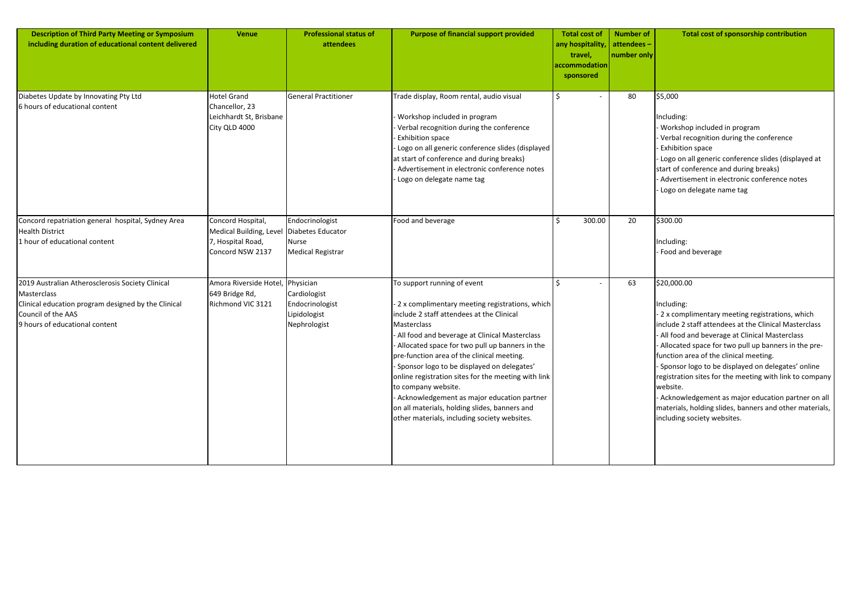| <b>Description of Third Party Meeting or Symposium</b><br>including duration of educational content delivered                                                                  | <b>Venue</b>                                                                          | <b>Professional status of</b><br>attendees                                       | <b>Purpose of financial support provided</b>                                                                                                                                                                                                                                                                                                                                                                                                                                                                                                                          | <b>Total cost of</b><br>any hospitality,<br>travel,<br>accommodation<br>sponsored | <b>Number of</b><br>attendees-<br>number only | Total cost of sponsorship contribution                                                                                                                                                                                                                                                                                                                                                                                                                                                                                                                          |
|--------------------------------------------------------------------------------------------------------------------------------------------------------------------------------|---------------------------------------------------------------------------------------|----------------------------------------------------------------------------------|-----------------------------------------------------------------------------------------------------------------------------------------------------------------------------------------------------------------------------------------------------------------------------------------------------------------------------------------------------------------------------------------------------------------------------------------------------------------------------------------------------------------------------------------------------------------------|-----------------------------------------------------------------------------------|-----------------------------------------------|-----------------------------------------------------------------------------------------------------------------------------------------------------------------------------------------------------------------------------------------------------------------------------------------------------------------------------------------------------------------------------------------------------------------------------------------------------------------------------------------------------------------------------------------------------------------|
| Diabetes Update by Innovating Pty Ltd<br>6 hours of educational content                                                                                                        | <b>Hotel Grand</b><br>Chancellor, 23<br>Leichhardt St, Brisbane<br>City QLD 4000      | <b>General Practitioner</b>                                                      | Trade display, Room rental, audio visual<br>Workshop included in program<br>Verbal recognition during the conference<br><b>Exhibition space</b><br>Logo on all generic conference slides (displayed<br>at start of conference and during breaks)<br>Advertisement in electronic conference notes<br>Logo on delegate name tag                                                                                                                                                                                                                                         | \$.                                                                               | 80                                            | \$5,000<br>Including:<br>Workshop included in program<br>Verbal recognition during the conference<br><b>Exhibition space</b><br>Logo on all generic conference slides (displayed at<br>start of conference and during breaks)<br>Advertisement in electronic conference notes<br>Logo on delegate name tag                                                                                                                                                                                                                                                      |
| Concord repatriation general hospital, Sydney Area<br><b>Health District</b><br>1 hour of educational content                                                                  | Concord Hospital,<br>Medical Building, Level<br>7, Hospital Road,<br>Concord NSW 2137 | Endocrinologist<br>Diabetes Educator<br><b>Nurse</b><br><b>Medical Registrar</b> | Food and beverage                                                                                                                                                                                                                                                                                                                                                                                                                                                                                                                                                     | 300.00                                                                            | 20                                            | \$300.00<br>Including:<br>Food and beverage                                                                                                                                                                                                                                                                                                                                                                                                                                                                                                                     |
| 2019 Australian Atherosclerosis Society Clinical<br>Masterclass<br>Clinical education program designed by the Clinical<br>Council of the AAS<br>9 hours of educational content | Amora Riverside Hotel, Physician<br>649 Bridge Rd,<br>Richmond VIC 3121               | Cardiologist<br>Endocrinologist<br>Lipidologist<br>Nephrologist                  | To support running of event<br>2 x complimentary meeting registrations, which<br>include 2 staff attendees at the Clinical<br>Masterclass<br>All food and beverage at Clinical Masterclass<br>Allocated space for two pull up banners in the<br>pre-function area of the clinical meeting.<br>Sponsor logo to be displayed on delegates'<br>online registration sites for the meeting with link<br>to company website.<br>Acknowledgement as major education partner<br>on all materials, holding slides, banners and<br>other materials, including society websites. |                                                                                   | 63                                            | \$20,000.00<br>Including:<br>2 x complimentary meeting registrations, which<br>nclude 2 staff attendees at the Clinical Masterclass<br>All food and beverage at Clinical Masterclass<br>Allocated space for two pull up banners in the pre-<br>function area of the clinical meeting.<br>Sponsor logo to be displayed on delegates' online<br>egistration sites for the meeting with link to company<br>website.<br>Acknowledgement as major education partner on all<br>materials, holding slides, banners and other materials,<br>including society websites. |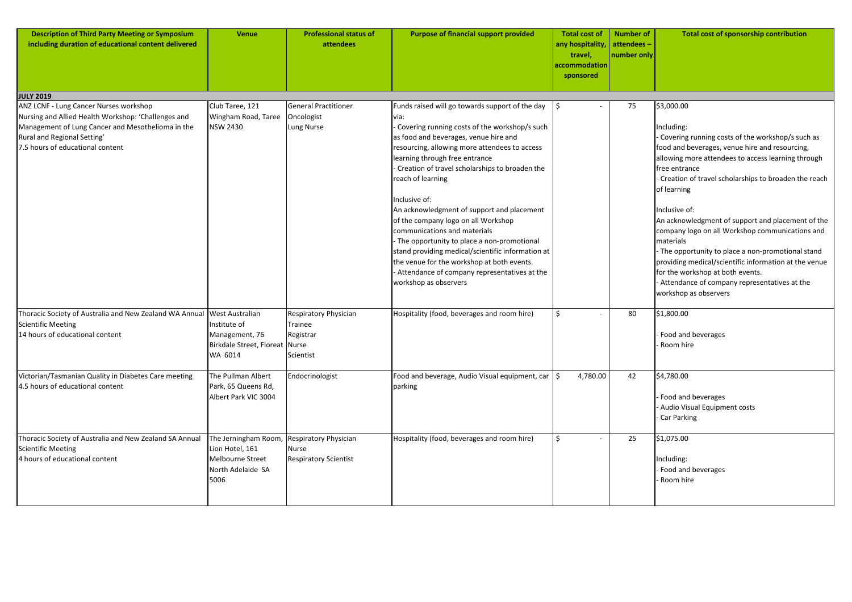| <b>Description of Third Party Meeting or Symposium</b><br>including duration of educational content delivered                                                                                                         | <b>Venue</b>                                                                                                                                                               | <b>Professional status of</b><br>attendees                                    | <b>Purpose of financial support provided</b>                                                                                                                                                                                                                                                                                                                                                                                                                                                                                                                                                                                                                                            | <b>Total cost of</b><br>any hospitality,<br>travel,<br>accommodation<br>sponsored | <b>Number of</b><br>attendees -<br>number only | Total cost of sponsorship contribution                                                                                                                                                                                                                                                                                                                                                                                                                                                                                                                                                                                                             |
|-----------------------------------------------------------------------------------------------------------------------------------------------------------------------------------------------------------------------|----------------------------------------------------------------------------------------------------------------------------------------------------------------------------|-------------------------------------------------------------------------------|-----------------------------------------------------------------------------------------------------------------------------------------------------------------------------------------------------------------------------------------------------------------------------------------------------------------------------------------------------------------------------------------------------------------------------------------------------------------------------------------------------------------------------------------------------------------------------------------------------------------------------------------------------------------------------------------|-----------------------------------------------------------------------------------|------------------------------------------------|----------------------------------------------------------------------------------------------------------------------------------------------------------------------------------------------------------------------------------------------------------------------------------------------------------------------------------------------------------------------------------------------------------------------------------------------------------------------------------------------------------------------------------------------------------------------------------------------------------------------------------------------------|
| <b>JULY 2019</b>                                                                                                                                                                                                      |                                                                                                                                                                            |                                                                               |                                                                                                                                                                                                                                                                                                                                                                                                                                                                                                                                                                                                                                                                                         |                                                                                   |                                                |                                                                                                                                                                                                                                                                                                                                                                                                                                                                                                                                                                                                                                                    |
| ANZ LCNF - Lung Cancer Nurses workshop<br>Nursing and Allied Health Workshop: 'Challenges and<br>Management of Lung Cancer and Mesothelioma in the<br>Rural and Regional Setting'<br>7.5 hours of educational content | Club Taree, 121<br>Wingham Road, Taree<br><b>NSW 2430</b>                                                                                                                  | <b>General Practitioner</b><br>Oncologist<br>Lung Nurse                       | Funds raised will go towards support of the day $\parallel$<br>via:<br>Covering running costs of the workshop/s such<br>as food and beverages, venue hire and<br>resourcing, allowing more attendees to access<br>learning through free entrance<br>Creation of travel scholarships to broaden the<br>reach of learning<br>Inclusive of:<br>An acknowledgment of support and placement<br>of the company logo on all Workshop<br>communications and materials<br>The opportunity to place a non-promotional<br>stand providing medical/scientific information at<br>the venue for the workshop at both events.<br>Attendance of company representatives at the<br>workshop as observers | Ŝ                                                                                 | 75                                             | \$3,000.00<br>Including:<br>- Covering running costs of the workshop/s such as<br>food and beverages, venue hire and resourcing,<br>allowing more attendees to access learning through<br>free entrance<br>Creation of travel scholarships to broaden the reach<br>of learning<br>Inclusive of:<br>An acknowledgment of support and placement of the<br>company logo on all Workshop communications and<br>materials<br>- The opportunity to place a non-promotional stand<br>providing medical/scientific information at the venue<br>for the workshop at both events.<br>- Attendance of company representatives at the<br>workshop as observers |
| Thoracic Society of Australia and New Zealand WA Annual<br><b>Scientific Meeting</b><br>14 hours of educational content<br>Victorian/Tasmanian Quality in Diabetes Care meeting<br>4.5 hours of educational content   | <b>West Australian</b><br>Institute of<br>Management, 76<br>Birkdale Street, Floreat Nurse<br>WA 6014<br>The Pullman Albert<br>Park, 65 Queens Rd,<br>Albert Park VIC 3004 | Respiratory Physician<br>Trainee<br>Registrar<br>Scientist<br>Endocrinologist | Hospitality (food, beverages and room hire)<br>Food and beverage, Audio Visual equipment, car $\frac{1}{5}$<br>parking                                                                                                                                                                                                                                                                                                                                                                                                                                                                                                                                                                  | \$<br>4,780.00                                                                    | 80<br>42                                       | \$1,800.00<br>Food and beverages<br>- Room hire<br>\$4,780.00<br>- Food and beverages<br>- Audio Visual Equipment costs                                                                                                                                                                                                                                                                                                                                                                                                                                                                                                                            |
| Thoracic Society of Australia and New Zealand SA Annual<br><b>Scientific Meeting</b><br>4 hours of educational content                                                                                                | The Jerningham Room<br>Lion Hotel, 161<br>Melbourne Street<br>North Adelaide SA                                                                                            | <b>Respiratory Physician</b><br>Nurse<br><b>Respiratory Scientist</b>         | Hospitality (food, beverages and room hire)                                                                                                                                                                                                                                                                                                                                                                                                                                                                                                                                                                                                                                             | \$                                                                                | 25                                             | - Car Parking<br>\$1,075.00<br>Including:<br>- Food and beverages                                                                                                                                                                                                                                                                                                                                                                                                                                                                                                                                                                                  |
|                                                                                                                                                                                                                       | 5006                                                                                                                                                                       |                                                                               |                                                                                                                                                                                                                                                                                                                                                                                                                                                                                                                                                                                                                                                                                         |                                                                                   |                                                | - Room hire                                                                                                                                                                                                                                                                                                                                                                                                                                                                                                                                                                                                                                        |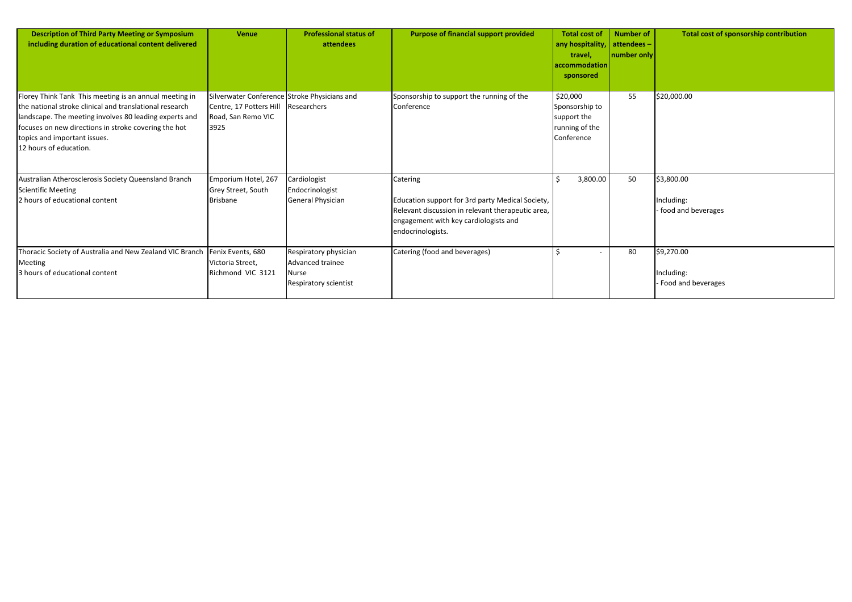| tal cost of<br>hospitality,<br>travel,<br>mmodation<br><b>onsored</b> | <b>Number of</b><br>attendees-<br>number only | <b>Total cost of sponsorship contribution</b>    |
|-----------------------------------------------------------------------|-----------------------------------------------|--------------------------------------------------|
| 000<br>sorship to<br>ort the<br>ing of the<br>erence                  | 55                                            | \$20,000.00                                      |
| 3,800.00                                                              | 50                                            | \$3,800.00<br>Including:<br>- food and beverages |
|                                                                       | 80                                            | \$9,270.00<br>Including:<br>- Food and beverages |

| <b>Description of Third Party Meeting or Symposium</b><br>including duration of educational content delivered                                                                                                                                                                                 | <b>Venue</b>                                                                                          | <b>Professional status of</b><br>attendees                                                  | <b>Purpose of financial support provided</b>                                                                                                                                    | <b>Total cost of</b><br>any hospitality<br>travel,<br>accommodation<br>sponsored | <b>Number of</b><br>attendees-<br>number only | Total c                                          |
|-----------------------------------------------------------------------------------------------------------------------------------------------------------------------------------------------------------------------------------------------------------------------------------------------|-------------------------------------------------------------------------------------------------------|---------------------------------------------------------------------------------------------|---------------------------------------------------------------------------------------------------------------------------------------------------------------------------------|----------------------------------------------------------------------------------|-----------------------------------------------|--------------------------------------------------|
| Florey Think Tank This meeting is an annual meeting in<br>the national stroke clinical and translational research<br>landscape. The meeting involves 80 leading experts and<br>focuses on new directions in stroke covering the hot<br>topics and important issues.<br>12 hours of education. | Silverwater Conference Stroke Physicians and<br>Centre, 17 Potters Hill<br>Road, San Remo VIC<br>3925 | Researchers                                                                                 | Sponsorship to support the running of the<br>Conference                                                                                                                         | \$20,000<br>Sponsorship to<br>support the<br>running of the<br>Conference        | 55                                            | \$20,000.00                                      |
| Australian Atherosclerosis Society Queensland Branch<br><b>Scientific Meeting</b><br>2 hours of educational content                                                                                                                                                                           | Emporium Hotel, 267<br>Grey Street, South<br><b>Brisbane</b>                                          | Cardiologist<br>Endocrinologist<br>General Physician                                        | Catering<br>Education support for 3rd party Medical Society,<br>Relevant discussion in relevant therapeutic area,<br>engagement with key cardiologists and<br>endocrinologists. | 3,800.00                                                                         | 50                                            | \$3,800.00<br>Including:<br>food and beve        |
| Thoracic Society of Australia and New Zealand VIC Branch<br><b>Meeting</b><br>3 hours of educational content                                                                                                                                                                                  | Fenix Events, 680<br>Victoria Street,<br>Richmond VIC 3121                                            | Respiratory physician<br>Advanced trainee<br><b>I</b> Nurse<br><b>Respiratory scientist</b> | Catering (food and beverages)                                                                                                                                                   |                                                                                  | 80                                            | \$9,270.00<br>Including:<br><b>Food and beve</b> |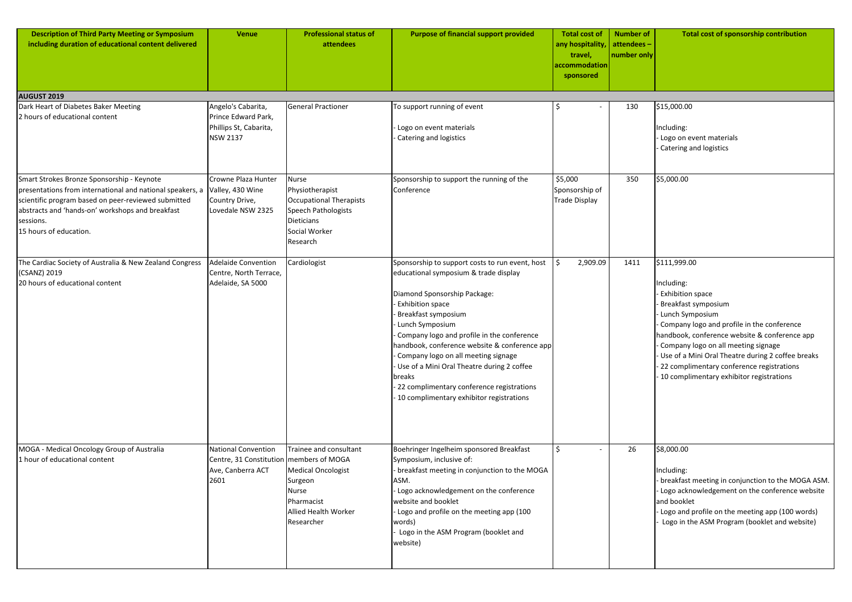| <b>Description of Third Party Meeting or Symposium</b><br>including duration of educational content delivered                                                                                                                                             | <b>Venue</b>                                                                                         | <b>Professional status of</b><br>attendees                                                                                          | <b>Purpose of financial support provided</b>                                                                                                                                                                                                                                                                                                                                                                                                                                                      | <b>Total cost of</b><br>any hospitality,<br>travel,<br>accommodation<br>sponsored | <b>Number of</b><br>attendees-<br>number only | <b>Total cost of sponsorship contribution</b>                                                                                                                                                                                                                                                                                                                                             |
|-----------------------------------------------------------------------------------------------------------------------------------------------------------------------------------------------------------------------------------------------------------|------------------------------------------------------------------------------------------------------|-------------------------------------------------------------------------------------------------------------------------------------|---------------------------------------------------------------------------------------------------------------------------------------------------------------------------------------------------------------------------------------------------------------------------------------------------------------------------------------------------------------------------------------------------------------------------------------------------------------------------------------------------|-----------------------------------------------------------------------------------|-----------------------------------------------|-------------------------------------------------------------------------------------------------------------------------------------------------------------------------------------------------------------------------------------------------------------------------------------------------------------------------------------------------------------------------------------------|
| <b>AUGUST 2019</b>                                                                                                                                                                                                                                        |                                                                                                      |                                                                                                                                     |                                                                                                                                                                                                                                                                                                                                                                                                                                                                                                   |                                                                                   |                                               |                                                                                                                                                                                                                                                                                                                                                                                           |
| Dark Heart of Diabetes Baker Meeting<br>2 hours of educational content                                                                                                                                                                                    | Angelo's Cabarita,<br>Prince Edward Park,<br>Phillips St, Cabarita,<br><b>NSW 2137</b>               | <b>General Practioner</b>                                                                                                           | To support running of event<br>Logo on event materials<br><b>Catering and logistics</b>                                                                                                                                                                                                                                                                                                                                                                                                           |                                                                                   | 130                                           | \$15,000.00<br>Including:<br>Logo on event materials<br><b>Catering and logistics</b>                                                                                                                                                                                                                                                                                                     |
| Smart Strokes Bronze Sponsorship - Keynote<br>presentations from international and national speakers, a<br>scientific program based on peer-reviewed submitted<br>abstracts and 'hands-on' workshops and breakfast<br>sessions.<br>15 hours of education. | Crowne Plaza Hunter<br>Valley, 430 Wine<br>Country Drive,<br>Lovedale NSW 2325                       | <b>Nurse</b><br>Physiotherapist<br><b>Occupational Therapists</b><br>Speech Pathologists<br>Dieticians<br>Social Worker<br>Research | Sponsorship to support the running of the<br>Conference                                                                                                                                                                                                                                                                                                                                                                                                                                           | \$5,000<br>Sponsorship of<br>Trade Display                                        | 350                                           | \$5,000.00                                                                                                                                                                                                                                                                                                                                                                                |
| The Cardiac Society of Australia & New Zealand Congress<br>(CSANZ) 2019<br>20 hours of educational content                                                                                                                                                | <b>Adelaide Convention</b><br>Centre, North Terrace,<br>Adelaide, SA 5000                            | Cardiologist                                                                                                                        | Sponsorship to support costs to run event, host<br>educational symposium & trade display<br>Diamond Sponsorship Package:<br><b>Exhibition space</b><br><b>Breakfast symposium</b><br>Lunch Symposium<br>Company logo and profile in the conference<br>handbook, conference website & conference app<br>Company logo on all meeting signage<br>- Use of a Mini Oral Theatre during 2 coffee<br>breaks<br>- 22 complimentary conference registrations<br>- 10 complimentary exhibitor registrations | 2,909.09                                                                          | 1411                                          | \$111,999.00<br>ncluding:<br><b>Exhibition space</b><br><b>Breakfast symposium</b><br>Lunch Symposium<br>Company logo and profile in the conference<br>handbook, conference website & conference app<br>Company logo on all meeting signage<br>Use of a Mini Oral Theatre during 2 coffee breaks<br>22 complimentary conference registrations<br>10 complimentary exhibitor registrations |
| MOGA - Medical Oncology Group of Australia<br>1 hour of educational content                                                                                                                                                                               | <b>National Convention</b><br>Centre, 31 Constitution   members of MOGA<br>Ave, Canberra ACT<br>2601 | Trainee and consultant<br><b>Medical Oncologist</b><br>Surgeon<br>Nurse<br>Pharmacist<br><b>Allied Health Worker</b><br>Researcher  | Boehringer Ingelheim sponsored Breakfast<br>Symposium, inclusive of:<br>- breakfast meeting in conjunction to the MOGA<br>ASM.<br>Logo acknowledgement on the conference<br>website and booklet<br>- Logo and profile on the meeting app (100<br>words)<br>Logo in the ASM Program (booklet and<br>website)                                                                                                                                                                                       | Ś.                                                                                | 26                                            | \$8,000.00<br>Including:<br>breakfast meeting in conjunction to the MOGA ASM.<br>Logo acknowledgement on the conference website<br>and booklet<br>Logo and profile on the meeting app (100 words)<br>Logo in the ASM Program (booklet and website)                                                                                                                                        |

| \$15,000.00                                                                                   |
|-----------------------------------------------------------------------------------------------|
| Including:<br>- Logo on event materials<br>- Catering and logistics                           |
|                                                                                               |
| \$5,000.00                                                                                    |
|                                                                                               |
|                                                                                               |
|                                                                                               |
| \$111,999.00                                                                                  |
| Including:<br>- Exhibition space                                                              |
| - Breakfast symposium                                                                         |
| - Lunch Symposium                                                                             |
| - Company logo and profile in the conference<br>handbook, conference website & conference app |
| - Company logo on all meeting signage                                                         |
| - Use of a Mini Oral Theatre during 2 coffee breaks                                           |
| - 22 complimentary conference registrations                                                   |
| - 10 complimentary exhibitor registrations                                                    |
|                                                                                               |
|                                                                                               |
|                                                                                               |
| \$8,000.00                                                                                    |
|                                                                                               |
| Including:<br>- breakfast meeting in conjunction to the MOGA ASM.                             |
| - Logo acknowledgement on the conference website<br>and booklet                               |
| - Logo and profile on the meeting app (100 words)                                             |
| - Logo in the ASM Program (booklet and website)                                               |
|                                                                                               |
|                                                                                               |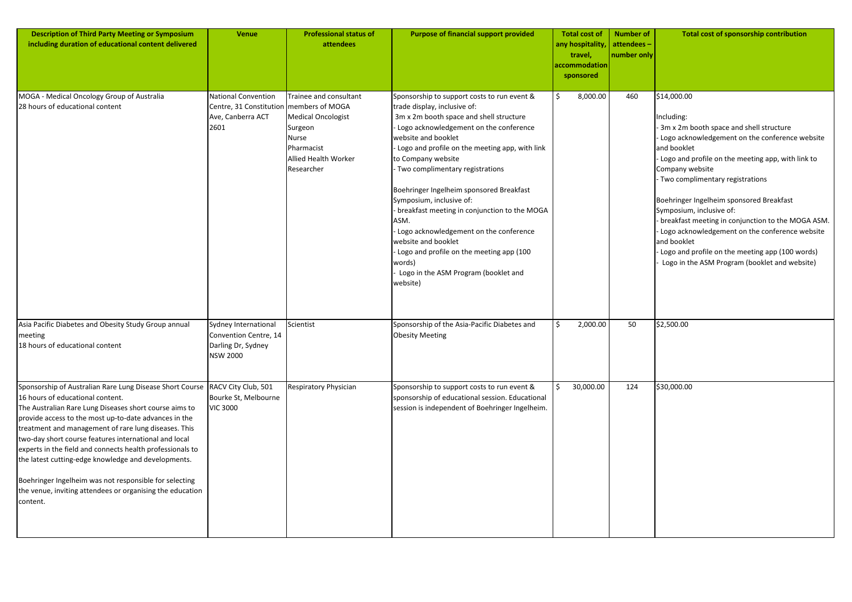| tal cost of          | <b>Number of</b> | <b>Total cost of sponsorship contribution</b>                                                           |
|----------------------|------------------|---------------------------------------------------------------------------------------------------------|
| hospitality,         | attendees-       |                                                                                                         |
| travel,<br>mmodation | number only      |                                                                                                         |
| onsored              |                  |                                                                                                         |
|                      |                  |                                                                                                         |
| 8,000.00             | 460              | \$14,000.00                                                                                             |
|                      |                  | Including:                                                                                              |
|                      |                  | - 3m x 2m booth space and shell structure                                                               |
|                      |                  | - Logo acknowledgement on the conference website<br>and booklet                                         |
|                      |                  | - Logo and profile on the meeting app, with link to                                                     |
|                      |                  | Company website                                                                                         |
|                      |                  | - Two complimentary registrations                                                                       |
|                      |                  | Boehringer Ingelheim sponsored Breakfast                                                                |
|                      |                  | Symposium, inclusive of:                                                                                |
|                      |                  | - breakfast meeting in conjunction to the MOGA ASM.<br>- Logo acknowledgement on the conference website |
|                      |                  | and booklet                                                                                             |
|                      |                  | - Logo and profile on the meeting app (100 words)                                                       |
|                      |                  | - Logo in the ASM Program (booklet and website)                                                         |
|                      |                  |                                                                                                         |
|                      |                  |                                                                                                         |
|                      |                  |                                                                                                         |
| 2,000.00             | 50               | \$2,500.00                                                                                              |
|                      |                  |                                                                                                         |
|                      |                  |                                                                                                         |
|                      |                  |                                                                                                         |
| 30,000.00            | 124              | \$30,000.00                                                                                             |
|                      |                  |                                                                                                         |
|                      |                  |                                                                                                         |
|                      |                  |                                                                                                         |
|                      |                  |                                                                                                         |
|                      |                  |                                                                                                         |
|                      |                  |                                                                                                         |
|                      |                  |                                                                                                         |
|                      |                  |                                                                                                         |
|                      |                  |                                                                                                         |
|                      |                  |                                                                                                         |
|                      |                  |                                                                                                         |

| <b>Description of Third Party Meeting or Symposium</b><br>including duration of educational content delivered                                                                                                                                                                                                                                                                                                                                                                                                                                                                           | <b>Venue</b>                                                                                         | <b>Professional status of</b><br>attendees                                                                                  | <b>Purpose of financial support provided</b>                                                                                                                                                                                                                                                                                                                                                                                                                                                                                                                                                                        |     | <b>Total cost of</b><br>any hospitality<br>travel,<br>accommodation<br>sponsored | <b>Number of</b><br>attendees-<br>number only | Tol                                                                                                                                                                                                                    |
|-----------------------------------------------------------------------------------------------------------------------------------------------------------------------------------------------------------------------------------------------------------------------------------------------------------------------------------------------------------------------------------------------------------------------------------------------------------------------------------------------------------------------------------------------------------------------------------------|------------------------------------------------------------------------------------------------------|-----------------------------------------------------------------------------------------------------------------------------|---------------------------------------------------------------------------------------------------------------------------------------------------------------------------------------------------------------------------------------------------------------------------------------------------------------------------------------------------------------------------------------------------------------------------------------------------------------------------------------------------------------------------------------------------------------------------------------------------------------------|-----|----------------------------------------------------------------------------------|-----------------------------------------------|------------------------------------------------------------------------------------------------------------------------------------------------------------------------------------------------------------------------|
| MOGA - Medical Oncology Group of Australia<br>28 hours of educational content                                                                                                                                                                                                                                                                                                                                                                                                                                                                                                           | <b>National Convention</b><br>Centre, 31 Constitution   members of MOGA<br>Ave, Canberra ACT<br>2601 | Trainee and consultant<br>Medical Oncologist<br>Surgeon<br><b>Nurse</b><br>Pharmacist<br>Allied Health Worker<br>Researcher | Sponsorship to support costs to run event &<br>trade display, inclusive of:<br>3m x 2m booth space and shell structure<br>Logo acknowledgement on the conference<br>website and booklet<br>- Logo and profile on the meeting app, with link<br>to Company website<br>- Two complimentary registrations<br>Boehringer Ingelheim sponsored Breakfast<br>Symposium, inclusive of:<br>breakfast meeting in conjunction to the MOGA<br>ASM.<br>Logo acknowledgement on the conference<br>website and booklet<br>- Logo and profile on the meeting app (100<br>words)<br>Logo in the ASM Program (booklet and<br>website) | \$  | 8,000.00                                                                         | 460                                           | \$14,000.00<br>Including:<br>$3m \times 2m$<br>Logo ackr<br>and bookle<br>Logo and<br>Company v<br>· Two com <sub>l</sub><br>Boehringer<br>Symposium<br>breakfast<br>Logo ackr<br>and bookle<br>Logo and<br>Logo in th |
| Asia Pacific Diabetes and Obesity Study Group annual<br>meeting<br>18 hours of educational content                                                                                                                                                                                                                                                                                                                                                                                                                                                                                      | Sydney International<br>Convention Centre, 14<br>Darling Dr, Sydney<br><b>NSW 2000</b>               | Scientist                                                                                                                   | Sponsorship of the Asia-Pacific Diabetes and<br><b>Obesity Meeting</b>                                                                                                                                                                                                                                                                                                                                                                                                                                                                                                                                              | \$  | 2,000.00                                                                         | 50                                            | \$2,500.00                                                                                                                                                                                                             |
| Sponsorship of Australian Rare Lung Disease Short Course<br>16 hours of educational content.<br>The Australian Rare Lung Diseases short course aims to<br>provide access to the most up-to-date advances in the<br>treatment and management of rare lung diseases. This<br>two-day short course features international and local<br>experts in the field and connects health professionals to<br>the latest cutting-edge knowledge and developments.<br>Boehringer Ingelheim was not responsible for selecting<br>the venue, inviting attendees or organising the education<br>content. | RACV City Club, 501<br>Bourke St, Melbourne<br><b>VIC 3000</b>                                       | Respiratory Physician                                                                                                       | Sponsorship to support costs to run event &<br>sponsorship of educational session. Educational<br>session is independent of Boehringer Ingelheim.                                                                                                                                                                                                                                                                                                                                                                                                                                                                   | \$. | 30,000.00                                                                        | 124                                           | \$30,000.00                                                                                                                                                                                                            |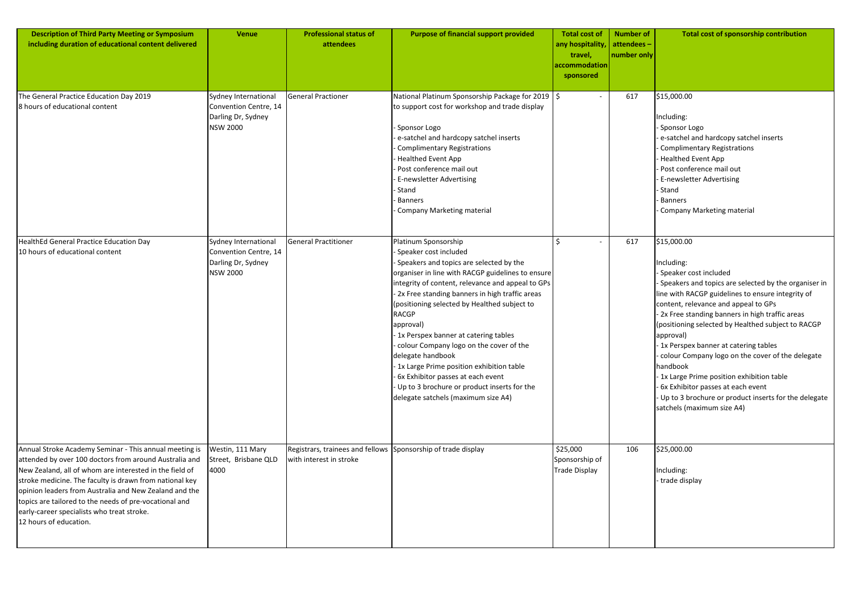| <b>Description of Third Party Meeting or Symposium</b><br>including duration of educational content delivered                                                                                                                                                                                                                                                                                                                      | <b>Venue</b>                                                                           | <b>Professional status of</b><br>attendees                                               | <b>Purpose of financial support provided</b>                                                                                                                                                                                                                                                                                                                                                                                                                                                                                                                                                                    | <b>Total cost of</b><br>any hospitality,<br>travel,<br>accommodation<br>sponsored | <b>Number of</b><br>attendees-<br>number only | <b>Total cost of sponsorship contribution</b>                                                                                                                                                                                                                                                                                                                                                                                                                                                                                                                                                                   |
|------------------------------------------------------------------------------------------------------------------------------------------------------------------------------------------------------------------------------------------------------------------------------------------------------------------------------------------------------------------------------------------------------------------------------------|----------------------------------------------------------------------------------------|------------------------------------------------------------------------------------------|-----------------------------------------------------------------------------------------------------------------------------------------------------------------------------------------------------------------------------------------------------------------------------------------------------------------------------------------------------------------------------------------------------------------------------------------------------------------------------------------------------------------------------------------------------------------------------------------------------------------|-----------------------------------------------------------------------------------|-----------------------------------------------|-----------------------------------------------------------------------------------------------------------------------------------------------------------------------------------------------------------------------------------------------------------------------------------------------------------------------------------------------------------------------------------------------------------------------------------------------------------------------------------------------------------------------------------------------------------------------------------------------------------------|
| The General Practice Education Day 2019<br>8 hours of educational content                                                                                                                                                                                                                                                                                                                                                          | Sydney International<br>Convention Centre, 14<br>Darling Dr, Sydney<br><b>NSW 2000</b> | <b>General Practioner</b>                                                                | National Platinum Sponsorship Package for 2019   \$<br>to support cost for workshop and trade display<br>Sponsor Logo<br>e-satchel and hardcopy satchel inserts<br><b>Complimentary Registrations</b><br><b>Healthed Event App</b><br>Post conference mail out<br><b>E-newsletter Advertising</b><br>Stand<br><b>Banners</b><br>Company Marketing material                                                                                                                                                                                                                                                      |                                                                                   | 617                                           | \$15,000.00<br>Including:<br>Sponsor Logo<br>e-satchel and hardcopy satchel inserts<br><b>Complimentary Registrations</b><br><b>Healthed Event App</b><br>Post conference mail out<br>E-newsletter Advertising<br>- Stand<br>Banners<br>Company Marketing material                                                                                                                                                                                                                                                                                                                                              |
| HealthEd General Practice Education Day<br>10 hours of educational content                                                                                                                                                                                                                                                                                                                                                         | Sydney International<br>Convention Centre, 14<br>Darling Dr, Sydney<br><b>NSW 2000</b> | <b>General Practitioner</b>                                                              | Platinum Sponsorship<br>Speaker cost included<br>Speakers and topics are selected by the<br>organiser in line with RACGP guidelines to ensure<br>ntegrity of content, relevance and appeal to GPs<br>2x Free standing banners in high traffic areas<br>(positioning selected by Healthed subject to<br><b>RACGP</b><br>approval)<br>1x Perspex banner at catering tables<br>colour Company logo on the cover of the<br>delegate handbook<br>1x Large Prime position exhibition table<br>6x Exhibitor passes at each event<br>Up to 3 brochure or product inserts for the<br>delegate satchels (maximum size A4) |                                                                                   | 617                                           | \$15,000.00<br>Including:<br>- Speaker cost included<br>Speakers and topics are selected by the organiser in<br>line with RACGP guidelines to ensure integrity of<br>content, relevance and appeal to GPs<br>2x Free standing banners in high traffic areas<br>(positioning selected by Healthed subject to RACGP<br>approval)<br>1x Perspex banner at catering tables<br>colour Company logo on the cover of the delegate<br>handbook<br>1x Large Prime position exhibition table<br>- 6x Exhibitor passes at each event<br>Up to 3 brochure or product inserts for the delegate<br>satchels (maximum size A4) |
| Annual Stroke Academy Seminar - This annual meeting is<br>attended by over 100 doctors from around Australia and<br>New Zealand, all of whom are interested in the field of<br>stroke medicine. The faculty is drawn from national key<br>opinion leaders from Australia and New Zealand and the<br>topics are tailored to the needs of pre-vocational and<br>early-career specialists who treat stroke.<br>12 hours of education. | Westin, 111 Mary<br>Street, Brisbane QLD<br>4000                                       | Registrars, trainees and fellows Sponsorship of trade display<br>with interest in stroke |                                                                                                                                                                                                                                                                                                                                                                                                                                                                                                                                                                                                                 | \$25,000<br>Sponsorship of<br>Trade Display                                       | 106                                           | \$25,000.00<br>Including:<br>trade display                                                                                                                                                                                                                                                                                                                                                                                                                                                                                                                                                                      |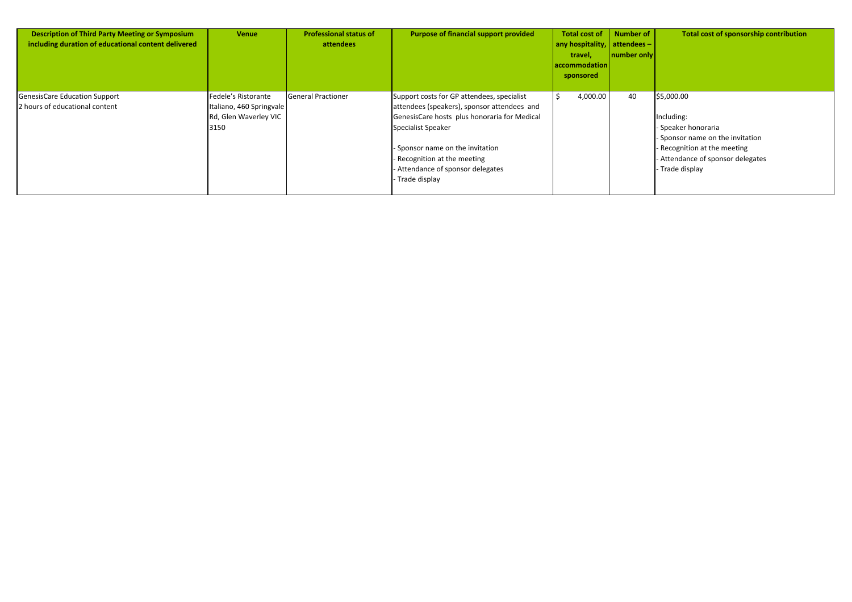| <b>Description of Third Party Meeting or Symposium</b><br>including duration of educational content delivered | <b>Venue</b>                                                                     | <b>Professional status of</b><br>attendees | Purpose of financial support provided                                                                                                                                                                                                                                                       | Total cost of<br>any hospitality,<br>travel,<br>accommodation<br>sponsored | <b>Number of</b><br>attendees-<br>number only | Total cost of sponsorship contribution                                                                                                                             |
|---------------------------------------------------------------------------------------------------------------|----------------------------------------------------------------------------------|--------------------------------------------|---------------------------------------------------------------------------------------------------------------------------------------------------------------------------------------------------------------------------------------------------------------------------------------------|----------------------------------------------------------------------------|-----------------------------------------------|--------------------------------------------------------------------------------------------------------------------------------------------------------------------|
| GenesisCare Education Support<br>2 hours of educational content                                               | Fedele's Ristorante<br>Italiano, 460 Springvale<br>Rd, Glen Waverley VIC<br>3150 | General Practioner                         | Support costs for GP attendees, specialist<br>attendees (speakers), sponsor attendees and<br>GenesisCare hosts plus honoraria for Medical<br>Specialist Speaker<br>- Sponsor name on the invitation<br>- Recognition at the meeting<br>- Attendance of sponsor delegates<br>- Trade display | 4,000.00                                                                   | 40                                            | \$5,000.00<br>ncluding:<br>Speaker honoraria<br>Sponsor name on the invitation<br>Recognition at the meeting<br>Attendance of sponsor delegates<br>- Trade display |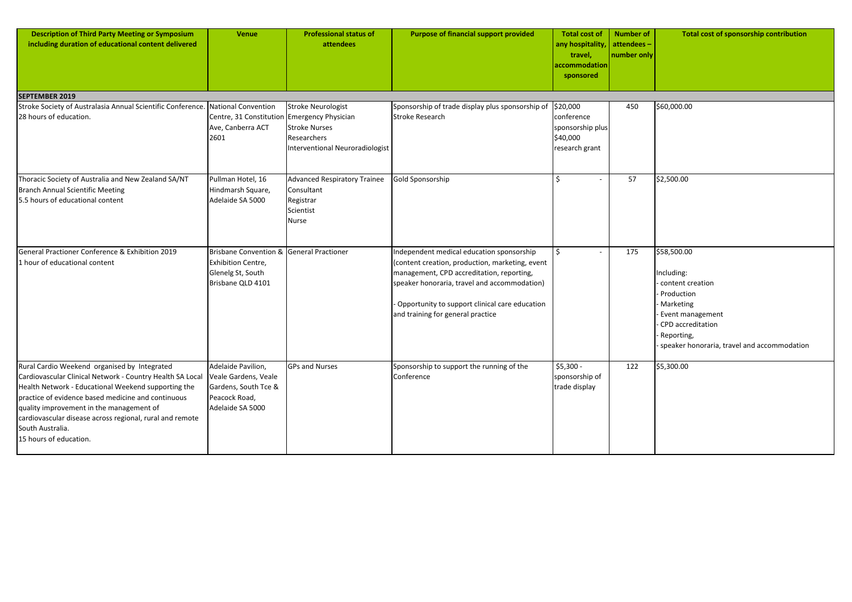| <b>Description of Third Party Meeting or Symposium</b><br>including duration of educational content delivered                                                                                                                                                                                                                                                                | <b>Venue</b>                                                                                             | <b>Professional status of</b><br>attendees                                                                 | <b>Purpose of financial support provided</b>                                                                                                                                                                                                                                     | <b>Total cost of</b><br>any hospitality,<br>travel,<br>accommodation<br>sponsored | <b>Number of</b><br>attendees-<br>number only | Total cost of sponsorship contribution                                                                                                                                         |
|------------------------------------------------------------------------------------------------------------------------------------------------------------------------------------------------------------------------------------------------------------------------------------------------------------------------------------------------------------------------------|----------------------------------------------------------------------------------------------------------|------------------------------------------------------------------------------------------------------------|----------------------------------------------------------------------------------------------------------------------------------------------------------------------------------------------------------------------------------------------------------------------------------|-----------------------------------------------------------------------------------|-----------------------------------------------|--------------------------------------------------------------------------------------------------------------------------------------------------------------------------------|
| <b>SEPTEMBER 2019</b>                                                                                                                                                                                                                                                                                                                                                        |                                                                                                          |                                                                                                            |                                                                                                                                                                                                                                                                                  |                                                                                   |                                               |                                                                                                                                                                                |
| Stroke Society of Australasia Annual Scientific Conference. National Convention<br>28 hours of education.                                                                                                                                                                                                                                                                    | Centre, 31 Constitution Emergency Physician<br>Ave, Canberra ACT<br>2601                                 | <b>Stroke Neurologist</b><br><b>Stroke Nurses</b><br>Researchers<br><b>Interventional Neuroradiologist</b> | Sponsorship of trade display plus sponsorship of<br><b>Stroke Research</b>                                                                                                                                                                                                       | \$20,000<br>conference<br>sponsorship plus<br>\$40,000<br>research grant          | 450                                           | \$60,000.00                                                                                                                                                                    |
| Thoracic Society of Australia and New Zealand SA/NT<br><b>Branch Annual Scientific Meeting</b><br>5.5 hours of educational content                                                                                                                                                                                                                                           | Pullman Hotel, 16<br>Hindmarsh Square,<br>Adelaide SA 5000                                               | <b>Advanced Respiratory Trainee</b><br>Consultant<br>Registrar<br>Scientist<br><b>Nurse</b>                | Gold Sponsorship                                                                                                                                                                                                                                                                 |                                                                                   | 57                                            | \$2,500.00                                                                                                                                                                     |
| General Practioner Conference & Exhibition 2019<br>1 hour of educational content                                                                                                                                                                                                                                                                                             | Brisbane Convention & General Practioner<br>Exhibition Centre,<br>Glenelg St, South<br>Brisbane QLD 4101 |                                                                                                            | Independent medical education sponsorship<br>(content creation, production, marketing, event<br>management, CPD accreditation, reporting,<br>speaker honoraria, travel and accommodation)<br>Opportunity to support clinical care education<br>and training for general practice |                                                                                   | 175                                           | \$58,500.00<br>Including:<br>content creation<br>Production<br>Marketing<br>Event management<br>CPD accreditation<br>Reporting,<br>speaker honoraria, travel and accommodation |
| Rural Cardio Weekend organised by Integrated<br>Cardiovascular Clinical Network - Country Health SA Local<br>Health Network - Educational Weekend supporting the<br>practice of evidence based medicine and continuous<br>quality improvement in the management of<br>cardiovascular disease across regional, rural and remote<br>South Australia.<br>15 hours of education. | Adelaide Pavilion,<br>Veale Gardens, Veale<br>Gardens, South Tce &<br>Peacock Road,<br>Adelaide SA 5000  | <b>GPs and Nurses</b>                                                                                      | Sponsorship to support the running of the<br>Conference                                                                                                                                                                                                                          | $$5,300 -$<br>sponsorship of<br>trade display                                     | 122                                           | \$5,300.00                                                                                                                                                                     |

| \$60,000.00                                                                                                                                                                                  |
|----------------------------------------------------------------------------------------------------------------------------------------------------------------------------------------------|
| \$2,500.00                                                                                                                                                                                   |
| \$58,500.00<br>Including:<br>- content creation<br>- Production<br>- Marketing<br>- Event management<br>- CPD accreditation<br>- Reporting,<br>- speaker honoraria, travel and accommodation |
| \$5,300.00                                                                                                                                                                                   |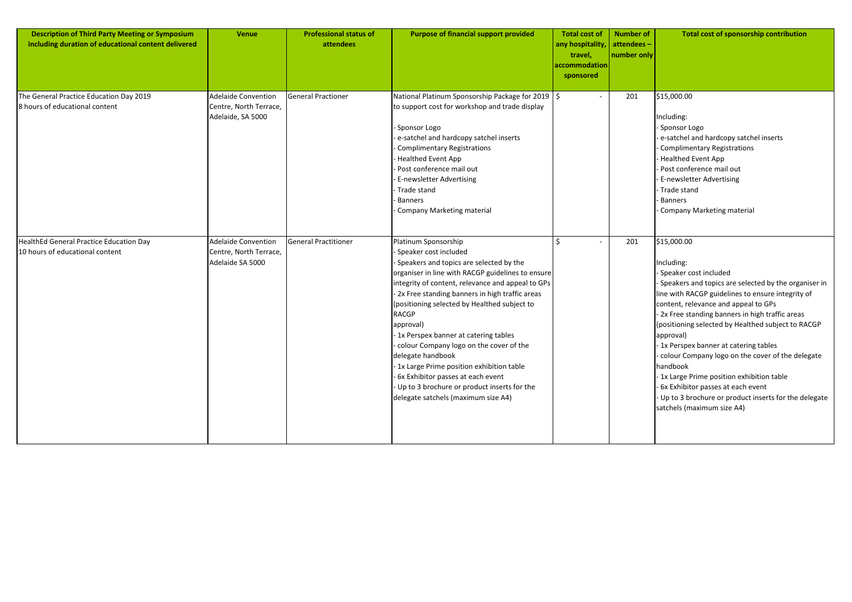| <b>Description of Third Party Meeting or Symposium</b><br>including duration of educational content delivered | <b>Venue</b>                                                              | <b>Professional status of</b><br>attendees | <b>Purpose of financial support provided</b>                                                                                                                                                                                                                                                                                                                                                                                                                                                                                                                                                                         | <b>Total cost of</b><br>any hospitality,<br>travel,<br>accommodation<br>sponsored | <b>Number of</b><br>attendees-<br>number only | <b>Total cost of sponsorship contribution</b>                                                                                                                                                                                                                                                                                                                                                                                                                                                                                                                                                                 |
|---------------------------------------------------------------------------------------------------------------|---------------------------------------------------------------------------|--------------------------------------------|----------------------------------------------------------------------------------------------------------------------------------------------------------------------------------------------------------------------------------------------------------------------------------------------------------------------------------------------------------------------------------------------------------------------------------------------------------------------------------------------------------------------------------------------------------------------------------------------------------------------|-----------------------------------------------------------------------------------|-----------------------------------------------|---------------------------------------------------------------------------------------------------------------------------------------------------------------------------------------------------------------------------------------------------------------------------------------------------------------------------------------------------------------------------------------------------------------------------------------------------------------------------------------------------------------------------------------------------------------------------------------------------------------|
| The General Practice Education Day 2019<br>8 hours of educational content                                     | <b>Adelaide Convention</b><br>Centre, North Terrace,<br>Adelaide, SA 5000 | General Practioner                         | National Platinum Sponsorship Package for 2019   \$<br>to support cost for workshop and trade display<br>Sponsor Logo<br>e-satchel and hardcopy satchel inserts<br><b>Complimentary Registrations</b><br><b>Healthed Event App</b><br>Post conference mail out<br>- E-newsletter Advertising<br>Trade stand<br>Banners<br>Company Marketing material                                                                                                                                                                                                                                                                 |                                                                                   | 201                                           | \$15,000.00<br>Including:<br>Sponsor Logo<br>e-satchel and hardcopy satchel inserts<br><b>Complimentary Registrations</b><br><b>Healthed Event App</b><br>Post conference mail out<br>E-newsletter Advertising<br>Trade stand<br>Banners<br>Company Marketing material                                                                                                                                                                                                                                                                                                                                        |
| <b>HealthEd General Practice Education Day</b><br>10 hours of educational content                             | <b>Adelaide Convention</b><br>Centre, North Terrace,<br>Adelaide SA 5000  | General Practitioner                       | Platinum Sponsorship<br>- Speaker cost included<br>Speakers and topics are selected by the<br>organiser in line with RACGP guidelines to ensure<br>integrity of content, relevance and appeal to GPs<br>2x Free standing banners in high traffic areas<br>(positioning selected by Healthed subject to<br><b>RACGP</b><br>approval)<br>1x Perspex banner at catering tables<br>colour Company logo on the cover of the<br>delegate handbook<br>1x Large Prime position exhibition table<br>- 6x Exhibitor passes at each event<br>Up to 3 brochure or product inserts for the<br>delegate satchels (maximum size A4) |                                                                                   | 201                                           | \$15,000.00<br>Including:<br>- Speaker cost included<br>Speakers and topics are selected by the organiser in<br>line with RACGP guidelines to ensure integrity of<br>content, relevance and appeal to GPs<br>2x Free standing banners in high traffic areas<br>(positioning selected by Healthed subject to RACGP<br>approval)<br>1x Perspex banner at catering tables<br>colour Company logo on the cover of the delegate<br>handbook<br>1x Large Prime position exhibition table<br>6x Exhibitor passes at each event<br>Up to 3 brochure or product inserts for the delegate<br>satchels (maximum size A4) |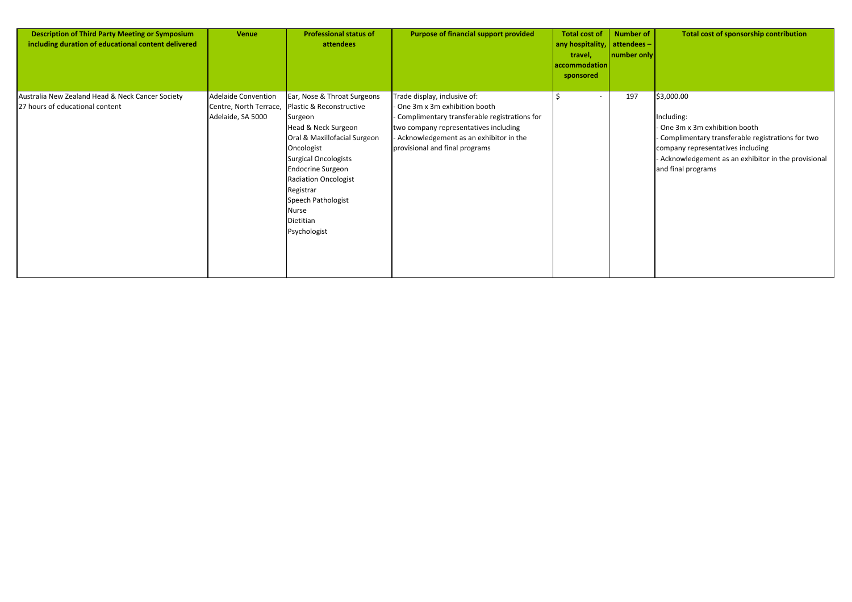| <b>Description of Third Party Meeting or Symposium</b><br>including duration of educational content delivered | <b>Venue</b>                                                              | <b>Professional status of</b><br>attendees                                                                                                                                                                                                                                                          | <b>Purpose of financial support provided</b>                                                                                                                                                                                      | <b>Total cost of</b><br>any hospitality,<br>travel,<br>$ {\sf accommodation} $<br>sponsored | <b>Number of</b><br>attendees-<br>  number only | Total cost of sponsorship contribution                                                                                                                                                                                              |
|---------------------------------------------------------------------------------------------------------------|---------------------------------------------------------------------------|-----------------------------------------------------------------------------------------------------------------------------------------------------------------------------------------------------------------------------------------------------------------------------------------------------|-----------------------------------------------------------------------------------------------------------------------------------------------------------------------------------------------------------------------------------|---------------------------------------------------------------------------------------------|-------------------------------------------------|-------------------------------------------------------------------------------------------------------------------------------------------------------------------------------------------------------------------------------------|
| Australia New Zealand Head & Neck Cancer Society<br>27 hours of educational content                           | <b>Adelaide Convention</b><br>Centre, North Terrace,<br>Adelaide, SA 5000 | Ear, Nose & Throat Surgeons<br>Plastic & Reconstructive<br>Surgeon<br>Head & Neck Surgeon<br>Oral & Maxillofacial Surgeon<br>Oncologist<br>Surgical Oncologists<br><b>Endocrine Surgeon</b><br><b>Radiation Oncologist</b><br>Registrar<br>Speech Pathologist<br>Nurse<br>Dietitian<br>Psychologist | Trade display, inclusive of:<br>One 3m x 3m exhibition booth<br>Complimentary transferable registrations for<br>two company representatives including<br>Acknowledgement as an exhibitor in the<br>provisional and final programs |                                                                                             | 197                                             | \$3,000.00<br>Including:<br>- One 3m x 3m exhibition booth<br>- Complimentary transferable registrations for two<br>company representatives including<br>- Acknowledgement as an exhibitor in the provisional<br>and final programs |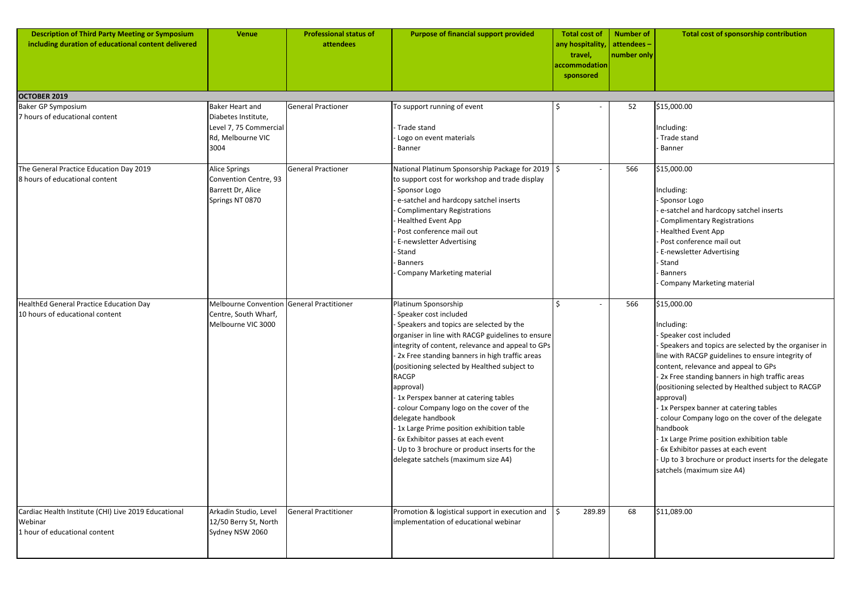| <b>Description of Third Party Meeting or Symposium</b><br>including duration of educational content delivered | <b>Venue</b>                                                                                         | <b>Professional status of</b><br>attendees | <b>Purpose of financial support provided</b>                                                                                                                                                                                                                                                                                                                                                                                                                                                                                                                                                                        | <b>Total cost of</b><br>any hospitality,<br>travel,<br>accommodation<br>sponsored | <b>Number of</b><br>attendees-<br>number only | Total cost of sponsorship contribution                                                                                                                                                                                                                                                                                                                                                                                                                                                                                                                                                                          |
|---------------------------------------------------------------------------------------------------------------|------------------------------------------------------------------------------------------------------|--------------------------------------------|---------------------------------------------------------------------------------------------------------------------------------------------------------------------------------------------------------------------------------------------------------------------------------------------------------------------------------------------------------------------------------------------------------------------------------------------------------------------------------------------------------------------------------------------------------------------------------------------------------------------|-----------------------------------------------------------------------------------|-----------------------------------------------|-----------------------------------------------------------------------------------------------------------------------------------------------------------------------------------------------------------------------------------------------------------------------------------------------------------------------------------------------------------------------------------------------------------------------------------------------------------------------------------------------------------------------------------------------------------------------------------------------------------------|
| OCTOBER 2019                                                                                                  |                                                                                                      |                                            |                                                                                                                                                                                                                                                                                                                                                                                                                                                                                                                                                                                                                     |                                                                                   |                                               |                                                                                                                                                                                                                                                                                                                                                                                                                                                                                                                                                                                                                 |
| <b>Baker GP Symposium</b><br>7 hours of educational content                                                   | <b>Baker Heart and</b><br>Diabetes Institute,<br>Level 7, 75 Commercial<br>Rd, Melbourne VIC<br>3004 | <b>General Practioner</b>                  | To support running of event<br>- Trade stand<br>Logo on event materials<br><b>Banner</b>                                                                                                                                                                                                                                                                                                                                                                                                                                                                                                                            |                                                                                   | 52                                            | \$15,000.00<br>Including:<br>Trade stand<br>Banner                                                                                                                                                                                                                                                                                                                                                                                                                                                                                                                                                              |
| The General Practice Education Day 2019<br>8 hours of educational content                                     | <b>Alice Springs</b><br>Convention Centre, 93<br>Barrett Dr, Alice<br>Springs NT 0870                | <b>General Practioner</b>                  | National Platinum Sponsorship Package for 2019 $\frac{1}{5}$<br>to support cost for workshop and trade display<br>Sponsor Logo<br>e-satchel and hardcopy satchel inserts<br><b>Complimentary Registrations</b><br><b>Healthed Event App</b><br>Post conference mail out<br><b>E-newsletter Advertising</b><br>Stand<br><b>Banners</b><br><b>Company Marketing material</b>                                                                                                                                                                                                                                          | $\overline{\phantom{a}}$                                                          | 566                                           | \$15,000.00<br>Including:<br>Sponsor Logo<br>e-satchel and hardcopy satchel inserts<br><b>Complimentary Registrations</b><br><b>Healthed Event App</b><br>Post conference mail out<br><b>E-newsletter Advertising</b><br>Stand<br>Banners<br>Company Marketing material                                                                                                                                                                                                                                                                                                                                         |
| HealthEd General Practice Education Day<br>10 hours of educational content                                    | Melbourne Convention General Practitioner<br>Centre, South Wharf,<br>Melbourne VIC 3000              |                                            | Platinum Sponsorship<br>Speaker cost included<br>Speakers and topics are selected by the<br>organiser in line with RACGP guidelines to ensure<br>integrity of content, relevance and appeal to GPs<br>2x Free standing banners in high traffic areas<br>(positioning selected by Healthed subject to<br><b>RACGP</b><br>approval)<br>-1x Perspex banner at catering tables<br>colour Company logo on the cover of the<br>delegate handbook<br>- 1x Large Prime position exhibition table<br>6x Exhibitor passes at each event<br>Up to 3 brochure or product inserts for the<br>delegate satchels (maximum size A4) |                                                                                   | 566                                           | \$15,000.00<br>Including:<br>Speaker cost included<br>- Speakers and topics are selected by the organiser in<br>line with RACGP guidelines to ensure integrity of<br>content, relevance and appeal to GPs<br>- 2x Free standing banners in high traffic areas<br>(positioning selected by Healthed subject to RACGP<br>approval)<br>1x Perspex banner at catering tables<br>colour Company logo on the cover of the delegate<br>handbook<br>1x Large Prime position exhibition table<br>6x Exhibitor passes at each event<br>Up to 3 brochure or product inserts for the delegate<br>satchels (maximum size A4) |
| Cardiac Health Institute (CHI) Live 2019 Educational<br>Webinar<br>1 hour of educational content              | Arkadin Studio, Level<br>12/50 Berry St, North<br>Sydney NSW 2060                                    | <b>General Practitioner</b>                | Promotion & logistical support in execution and<br>implementation of educational webinar                                                                                                                                                                                                                                                                                                                                                                                                                                                                                                                            | 289.89                                                                            | 68                                            | \$11,089.00                                                                                                                                                                                                                                                                                                                                                                                                                                                                                                                                                                                                     |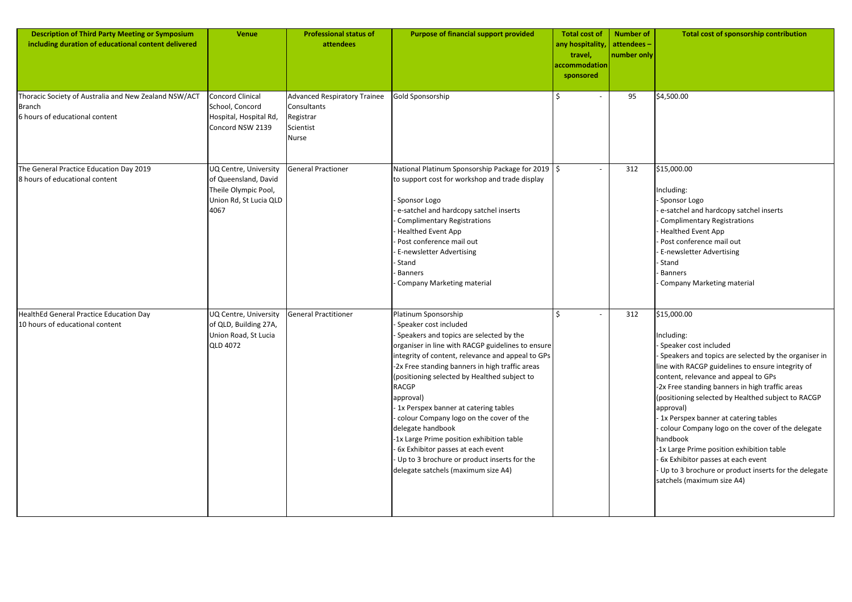| <b>Description of Third Party Meeting or Symposium</b><br>including duration of educational content delivered | <b>Venue</b>                                                                                            | <b>Professional status of</b><br>attendees                                            | <b>Purpose of financial support provided</b>                                                                                                                                                                                                                                                                                                                                                                                                                                                                                                                                                                         | <b>Total cost of</b><br>any hospitality,<br>travel,<br>accommodation<br>sponsored | <b>Number of</b><br>attendees -<br>number only | <b>Total cost of spons</b>                                                                                                                                                                                                                                                                                                                                                                                              |
|---------------------------------------------------------------------------------------------------------------|---------------------------------------------------------------------------------------------------------|---------------------------------------------------------------------------------------|----------------------------------------------------------------------------------------------------------------------------------------------------------------------------------------------------------------------------------------------------------------------------------------------------------------------------------------------------------------------------------------------------------------------------------------------------------------------------------------------------------------------------------------------------------------------------------------------------------------------|-----------------------------------------------------------------------------------|------------------------------------------------|-------------------------------------------------------------------------------------------------------------------------------------------------------------------------------------------------------------------------------------------------------------------------------------------------------------------------------------------------------------------------------------------------------------------------|
| Thoracic Society of Australia and New Zealand NSW/ACT<br><b>Branch</b><br>6 hours of educational content      | Concord Clinical<br>School, Concord<br>Hospital, Hospital Rd,<br>Concord NSW 2139                       | <b>Advanced Respiratory Trainee</b><br>Consultants<br>Registrar<br>Scientist<br>Nurse | Gold Sponsorship                                                                                                                                                                                                                                                                                                                                                                                                                                                                                                                                                                                                     |                                                                                   | 95                                             | \$4,500.00                                                                                                                                                                                                                                                                                                                                                                                                              |
| The General Practice Education Day 2019<br>8 hours of educational content                                     | UQ Centre, University<br>of Queensland, David<br>Theile Olympic Pool,<br>Union Rd, St Lucia QLD<br>4067 | <b>General Practioner</b>                                                             | National Platinum Sponsorship Package for 2019   \$<br>to support cost for workshop and trade display<br>Sponsor Logo<br>e-satchel and hardcopy satchel inserts<br>Complimentary Registrations<br><b>Healthed Event App</b><br>Post conference mail out<br>- E-newsletter Advertising<br>- Stand<br>Banners<br>Company Marketing material                                                                                                                                                                                                                                                                            |                                                                                   | 312                                            | \$15,000.00<br>Including:<br>Sponsor Logo<br>e-satchel and hardcopy sa<br><b>Complimentary Registrati</b><br><b>Healthed Event App</b><br>Post conference mail out<br>E-newsletter Advertising<br>Stand<br><b>Banners</b><br>Company Marketing mate                                                                                                                                                                     |
| HealthEd General Practice Education Day<br>10 hours of educational content                                    | UQ Centre, University<br>of QLD, Building 27A,<br>Union Road, St Lucia<br><b>QLD 4072</b>               | General Practitioner                                                                  | Platinum Sponsorship<br>Speaker cost included<br>Speakers and topics are selected by the<br>organiser in line with RACGP guidelines to ensure<br>integrity of content, relevance and appeal to GPs<br>-2x Free standing banners in high traffic areas<br>(positioning selected by Healthed subject to<br><b>RACGP</b><br>approval)<br>1x Perspex banner at catering tables<br>colour Company logo on the cover of the<br>delegate handbook<br>-1x Large Prime position exhibition table<br>- 6x Exhibitor passes at each event<br>Up to 3 brochure or product inserts for the<br>delegate satchels (maximum size A4) | \$                                                                                | 312                                            | \$15,000.00<br>Including:<br>- Speaker cost included<br>Speakers and topics are s<br>line with RACGP guidelines<br>content, relevance and app<br>-2x Free standing banners i<br>(positioning selected by He<br>approval)<br>- 1x Perspex banner at cate<br>colour Company logo on t<br>handbook<br>-1x Large Prime position ex<br>- 6x Exhibitor passes at eac<br>Up to 3 brochure or prod<br>satchels (maximum size A4 |

|          | <b>Total cost of</b><br>any hospitality, | <b>Number of</b><br>attendees- | <b>Total cost of sponsorship contribution</b>                                                                                                                                                                                                                                                                                                                                                                                                                                                                                                                                                                             |
|----------|------------------------------------------|--------------------------------|---------------------------------------------------------------------------------------------------------------------------------------------------------------------------------------------------------------------------------------------------------------------------------------------------------------------------------------------------------------------------------------------------------------------------------------------------------------------------------------------------------------------------------------------------------------------------------------------------------------------------|
|          | travel,<br>accommodation<br>sponsored    | number only                    |                                                                                                                                                                                                                                                                                                                                                                                                                                                                                                                                                                                                                           |
|          | \$                                       | 95                             | \$4,500.00                                                                                                                                                                                                                                                                                                                                                                                                                                                                                                                                                                                                                |
| 9        | \$                                       | 312                            | \$15,000.00<br>Including:<br>- Sponsor Logo<br>- e-satchel and hardcopy satchel inserts<br>- Complimentary Registrations<br>- Healthed Event App<br>- Post conference mail out<br>- E-newsletter Advertising<br>- Stand<br>- Banners<br>- Company Marketing material                                                                                                                                                                                                                                                                                                                                                      |
| re<br>Ps | \$                                       | 312                            | \$15,000.00<br>Including:<br>- Speaker cost included<br>- Speakers and topics are selected by the organiser in<br>line with RACGP guidelines to ensure integrity of<br>content, relevance and appeal to GPs<br>-2x Free standing banners in high traffic areas<br>(positioning selected by Healthed subject to RACGP<br>approval)<br>- 1x Perspex banner at catering tables<br>- colour Company logo on the cover of the delegate<br>handbook<br>-1x Large Prime position exhibition table<br>- 6x Exhibitor passes at each event<br>- Up to 3 brochure or product inserts for the delegate<br>satchels (maximum size A4) |